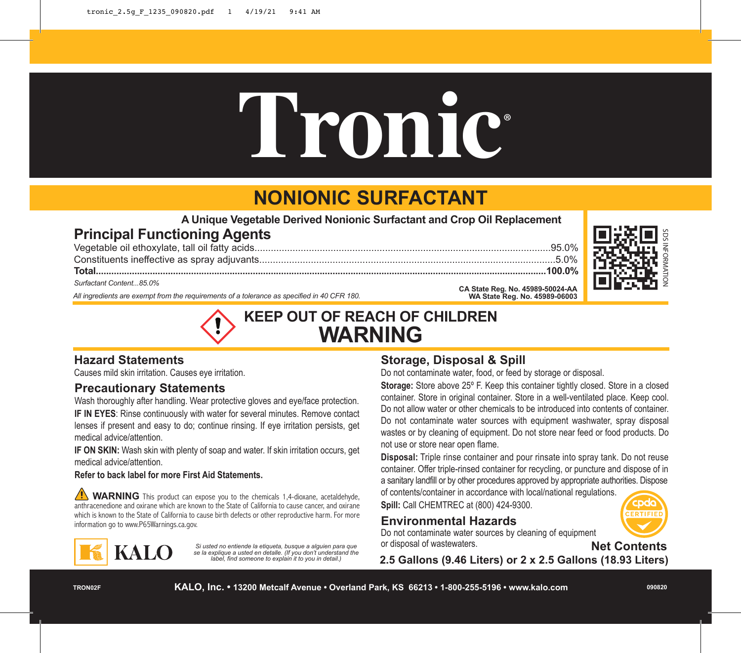# **Tronic**®

# **NONIONIC SURFACTANT**

**A Unique Vegetable Derived Nonionic Surfactant and Crop Oil Replacement**

## **Principal Functioning Agents**

Vegetable oil ethoxylate, tall oil fatty acids.............................................................................................................95.0% Constituents ineffective as spray adjuvants.............................................................................................................5.0%

**Total...............................................................................................................................................................................100.0%**

*Surfactant Content...85.0%*

*All ingredients are exempt from the requirements of a tolerance as specified in 40 CFR 180.*

## **KEEP OUT OF REACH OF CHILDREN WARNING**



#### **Hazard Statements**

Causes mild skin irritation. Causes eye irritation.

#### **Precautionary Statements**

Wash thoroughly after handling. Wear protective gloves and eye/face protection. **IF IN EYES:** Rinse continuously with water for several minutes. Remove contact lenses if present and easy to do; continue rinsing. If eye irritation persists, get medical advice/attention.

**IF ON SKIN:** Wash skin with plenty of soap and water. If skin irritation occurs, get medical advice/attention.

**Refer to back label for more First Aid Statements.**

**WARNING** This product can expose you to the chemicals 1,4-dioxane, acetaldehyde, anthracenedione and oxirane which are known to the State of California to cause cancer, and oxirane which is known to the State of California to cause birth defects or other reproductive harm. For more information go to www.P65Warnings.ca.gov.



*Si usted no entiende la etiqueta, busque a alguien para que se la explique a usted en detalle. (If you don't understand the label, find someone to explain it to you in detail.)*

### **Storage, Disposal & Spill**

Do not contaminate water, food, or feed by storage or disposal.

**Storage:** Store above 25º F. Keep this container tightly closed. Store in a closed container. Store in original container. Store in a well-ventilated place. Keep cool. Do not allow water or other chemicals to be introduced into contents of container. Do not contaminate water sources with equipment washwater, spray disposal wastes or by cleaning of equipment. Do not store near feed or food products. Do not use or store near open flame.

**CA State Reg. No. 45989-50024-AA WA State Reg. No. 45989-06003**

**Disposal:** Triple rinse container and pour rinsate into spray tank. Do not reuse container. Offer triple-rinsed container for recycling, or puncture and dispose of in a sanitary landfill or by other procedures approved by appropriate authorities. Dispose of contents/container in accordance with local/national regulations.

**Spill:** Call CHEMTREC at (800) 424-9300.



## **Environmental Hazards**

Do not contaminate water sources by cleaning of equipment or disposal of wastewaters.

**Net Contents**

**2.5 Gallons (9.46 Liters) or 2 x 2.5 Gallons (18.93 Liters)**

**TRON02F**

**KALO, Inc. • 13200 Metcalf Avenue • Overland Park, KS 66213 • 1-800-255-5196 • www.kalo.com**

**090820**